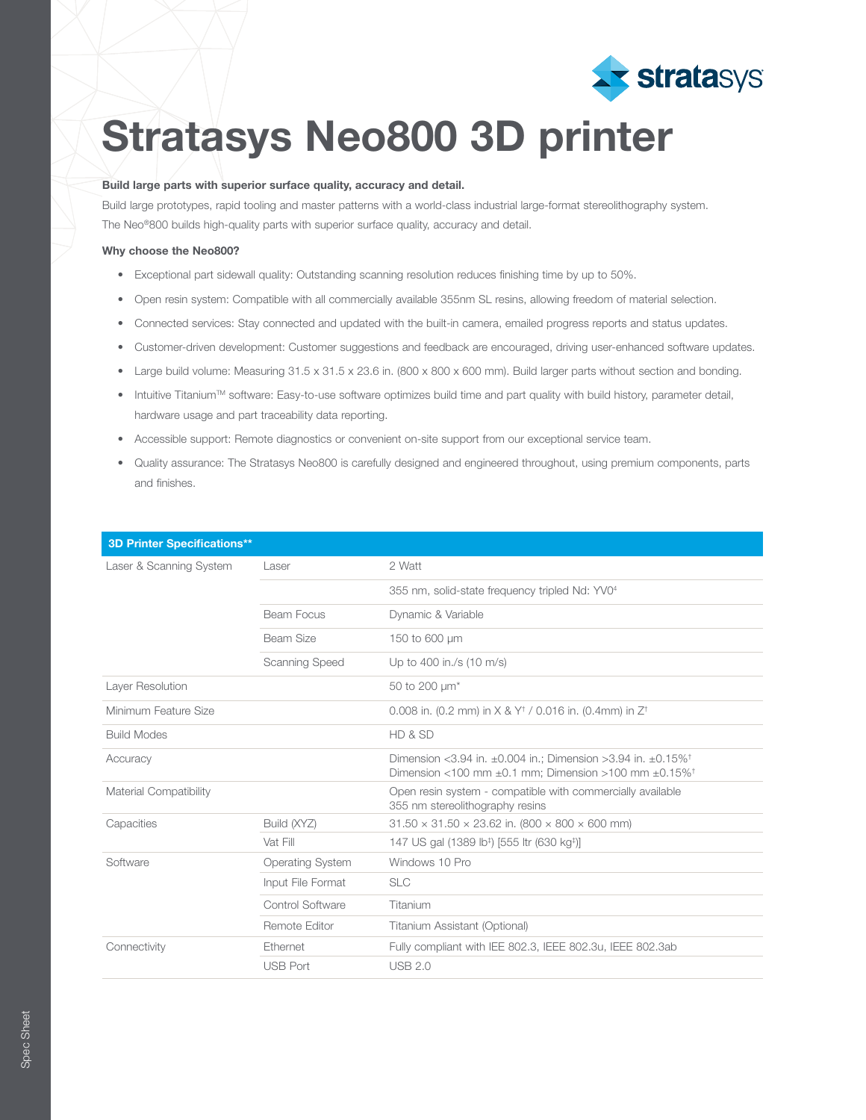

# Stratasys Neo800 3D printer

### Build large parts with superior surface quality, accuracy and detail.

Build large prototypes, rapid tooling and master patterns with a world-class industrial large-format stereolithography system. The Neo®800 builds high-quality parts with superior surface quality, accuracy and detail.

#### Why choose the Neo800?

- Exceptional part sidewall quality: Outstanding scanning resolution reduces finishing time by up to 50%.
- Open resin system: Compatible with all commercially available 355nm SL resins, allowing freedom of material selection.
- Connected services: Stay connected and updated with the built-in camera, emailed progress reports and status updates.
- Customer-driven development: Customer suggestions and feedback are encouraged, driving user-enhanced software updates.
- Large build volume: Measuring 31.5 x 31.5 x 23.6 in. (800 x 800 x 600 mm). Build larger parts without section and bonding.
- Intuitive Titanium<sup>TM</sup> software: Easy-to-use software optimizes build time and part quality with build history, parameter detail, hardware usage and part traceability data reporting.
- Accessible support: Remote diagnostics or convenient on-site support from our exceptional service team.
- Quality assurance: The Stratasys Neo800 is carefully designed and engineered throughout, using premium components, parts and finishes.

| <b>3D Printer Specifications**</b> |                         |                                                                                                                                                                  |
|------------------------------------|-------------------------|------------------------------------------------------------------------------------------------------------------------------------------------------------------|
| Laser & Scanning System            | Laser                   | 2 Watt                                                                                                                                                           |
|                                    |                         | 355 nm, solid-state frequency tripled Nd: YV0 <sup>4</sup>                                                                                                       |
|                                    | Beam Focus              | Dynamic & Variable                                                                                                                                               |
|                                    | Beam Size               | 150 to 600 µm                                                                                                                                                    |
|                                    | Scanning Speed          | Up to 400 in./s (10 m/s)                                                                                                                                         |
| Layer Resolution                   |                         | 50 to 200 $\mu$ m <sup>*</sup>                                                                                                                                   |
| Minimum Feature Size               |                         | 0.008 in. (0.2 mm) in $X \& Y^{\dagger} / 0.016$ in. (0.4mm) in $Z^{\dagger}$                                                                                    |
| <b>Build Modes</b>                 |                         | HD & SD                                                                                                                                                          |
| Accuracy                           |                         | Dimension <3.94 in. $\pm 0.004$ in.; Dimension >3.94 in. $\pm 0.15\%$ <sup>+</sup><br>Dimension <100 mm $\pm$ 0.1 mm; Dimension >100 mm $\pm$ 0.15% <sup>+</sup> |
| Material Compatibility             |                         | Open resin system - compatible with commercially available<br>355 nm stereolithography resins                                                                    |
| Capacities                         | Build (XYZ)             | $31.50 \times 31.50 \times 23.62$ in. (800 $\times$ 800 $\times$ 600 mm)                                                                                         |
|                                    | Vat Fill                | 147 US gal (1389 lb <sup>#</sup> ) [555 ltr (630 kg <sup>#</sup> )]                                                                                              |
| Software                           | <b>Operating System</b> | Windows 10 Pro                                                                                                                                                   |
|                                    | Input File Format       | <b>SLC</b>                                                                                                                                                       |
|                                    | Control Software        | Titanium                                                                                                                                                         |
|                                    | Remote Editor           | Titanium Assistant (Optional)                                                                                                                                    |
| Connectivity                       | Ethernet                | Fully compliant with IEE 802.3, IEEE 802.3u, IEEE 802.3ab                                                                                                        |
|                                    | <b>USB Port</b>         | <b>USB 2.0</b>                                                                                                                                                   |